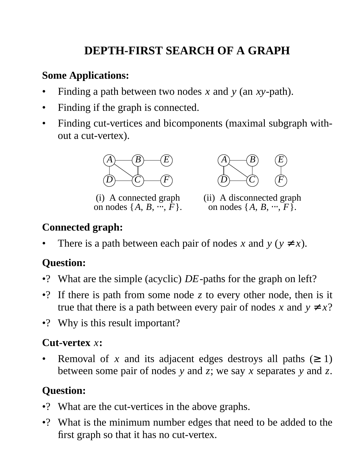# **DEPTH-FIRST SEARCH OF A GRAPH**

### **Some Applications:**

- Finding a path between two nodes *x* and *y* (an *xy*-path).
- Finding if the graph is connected.
- Finding cut-vertices and bicomponents (maximal subgraph without a cut-vertex).



(i) A connected graph on nodes  $\{A, B, \dots, F\}.$ 



(ii) A disconnected graph on nodes  $\{A, B, \dots, F\}.$ 

## **Connected graph:**

There is a path between each pair of nodes *x* and  $y (y \neq x)$ .

# **Question:**

- •? What are the simple (acyclic) *DE*-paths for the graph on left?
- •? If there is path from some node *z* to every other node, then is it true that there is a path between every pair of nodes *x* and  $y \neq x$ ?
- •? Why is this result important?

### **Cut-vertex** *x***:**

Removal of *x* and its adjacent edges destroys all paths  $(≥ 1)$ between some pair of nodes *y* and *z*; we say *x* separates *y* and *z*.

# **Question:**

- •? What are the cut-vertices in the above graphs.
- •? What is the minimum number edges that need to be added to the first graph so that it has no cut-vertex.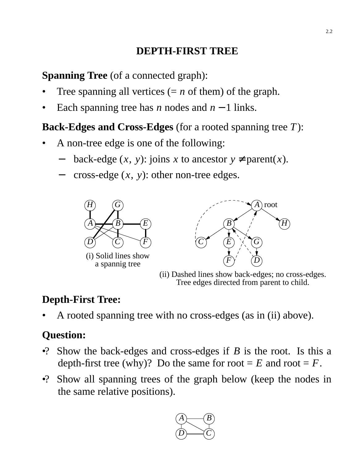# **DEPTH-FIRST TREE**

**Spanning Tree** (of a connected graph):

- Tree spanning all vertices  $(= n \text{ of them})$  of the graph.
- Each spanning tree has *n* nodes and  $n 1$  links.

### **Back-Edges and Cross-Edges** (for a rooted spanning tree *T*):

- A non-tree edge is one of the following:
	- back-edge  $(x, y)$ : joins *x* to ancestor  $y \neq$  parent $(x)$ .
	- cross-edge  $(x, y)$ : other non-tree edges.



a spannig tree



(ii) Dashed lines show back-edges; no cross-edges. Tree edges directed from parent to child.

## **Depth-First Tree:**

• A rooted spanning tree with no cross-edges (as in (ii) above).

# **Question:**

- •? Show the back-edges and cross-edges if *B* is the root. Is this a depth-first tree (why)? Do the same for root  $= E$  and root  $= F$ .
- •? Show all spanning trees of the graph below (keep the nodes in the same relative positions).

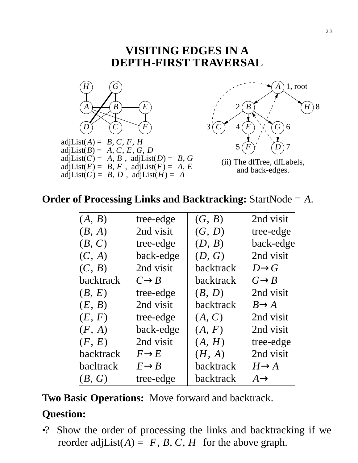#### **VISITING EDGES IN A DEPTH-FIRST TRAVERSAL**



#### **Order of Processing Links and Backtracking:** StartNode = *A*.

| (A, B)    | tree-edge         | (G, B)           | 2nd visit         |
|-----------|-------------------|------------------|-------------------|
| (B, A)    | 2nd visit         | (G, D)           | tree-edge         |
| (B, C)    | tree-edge         | (D, B)           | back-edge         |
| (C, A)    | back-edge         | (D, G)           | 2nd visit         |
| (C, B)    | 2nd visit         | backtrack        | $D\rightarrow G$  |
| backtrack | $C\rightarrow B$  | backtrack        | $G \rightarrow B$ |
| (B, E)    | tree-edge         | (B, D)           | 2nd visit         |
| (E, B)    | 2nd visit         | <b>backtrack</b> | $B\rightarrow A$  |
| (E, F)    | tree-edge         | (A, C)           | 2nd visit         |
| (F, A)    | back-edge         | (A, F)           | 2nd visit         |
| (F, E)    | 2nd visit         | (A, H)           | tree-edge         |
| backtrack | $F\rightarrow E$  | (H, A)           | 2nd visit         |
| bacltrack | $E \rightarrow B$ | backtrack        | $H\rightarrow A$  |
| (B, G)    | tree-edge         | backtrack        | $A \rightarrow$   |

**Two Basic Operations:** Move forward and backtrack.

#### **Question:**

•? Show the order of processing the links and backtracking if we reorder adjList( $A$ ) =  $\langle F, B, C, H \rangle$  for the above graph.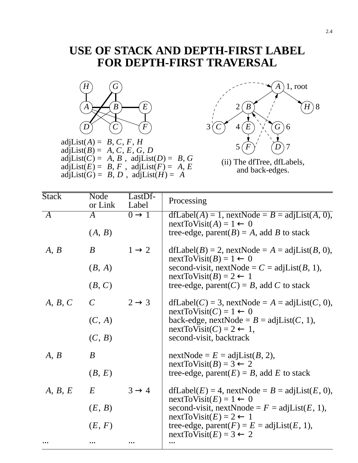# **USE OF STACK AND DEPTH-FIRST LABEL FOR DEPTH-FIRST TRAVERSAL**



adjList( $A$ ) =  $\langle B, C, F, H \rangle$ adjList( $B$ ) =  $\langle A, C, E, G, D \rangle$ adjList( $C$ ) =  $\langle A, B \rangle$ , adjList( $D$ ) =  $\langle B, G \rangle$ adjList( $E$ ) =  $\langle B, F \rangle$ , adjList( $F$ ) =  $\langle A, E \rangle$ adjList( $G$ ) =  $\langle B, D \rangle$ , adjList( $H$ ) =  $\langle A \rangle$ 



(ii) The dfTree, dfLabels, and back-edges.

| <b>Stack</b>              | Node<br>or Link    | LastDf-<br>Label  | Processing                                                                                                                               |  |  |  |
|---------------------------|--------------------|-------------------|------------------------------------------------------------------------------------------------------------------------------------------|--|--|--|
| $\langle A \rangle$       | $\bm{A}$<br>(A, B) | $0 \rightarrow 1$ | $dfLabel(A) = 1$ , nextNode = $B = adjList(A, 0)$ ,<br>$nextToVisit(A) = 1 \leftarrow 0$<br>tree-edge, parent( $B$ ) = A, add B to stack |  |  |  |
| $\langle A, B \rangle$    | B                  | $1 \rightarrow 2$ | $dfLabel(B) = 2$ , nextNode = A = adjList(B, 0),<br>$nextToVisit(B) = 1 \leftarrow 0$                                                    |  |  |  |
|                           | (B, A)             |                   | second-visit, nextNode = $C = adjList(B, 1)$ ,<br>$nextToVisit(B) = 2 \leftarrow 1$<br>tree-edge, parent( $C$ ) = B, add C to stack      |  |  |  |
|                           | (B, C)             |                   |                                                                                                                                          |  |  |  |
| $\langle A, B, C \rangle$ | $\mathcal{C}$      | $2 \rightarrow 3$ | $dfLabel(C) = 3$ , nextNode = A = adjList(C, 0),<br>$nextToVisit(C) = 1 \leftarrow 0$                                                    |  |  |  |
|                           | (C, A)             |                   | back-edge, nextNode = $B = adjList(C, 1)$ ,<br>$nextToVisit(C) = 2 \leftarrow 1$ ,                                                       |  |  |  |
|                           | (C, B)             |                   | second-visit, backtrack                                                                                                                  |  |  |  |
| $\langle A, B \rangle$    | B                  |                   | $nextNode = E = adjList(B, 2),$<br>$nextToVisit(B) = 3 \leftarrow 2$                                                                     |  |  |  |
|                           | (B, E)             |                   | tree-edge, parent $(E) = B$ , add E to stack                                                                                             |  |  |  |
| $\langle A, B, E \rangle$ | E                  | $3 \rightarrow 4$ | $dfLabel(E) = 4$ , nextNode = $B = adjList(E, 0)$ ,<br>$nextToVisit(E) = 1 \leftarrow 0$                                                 |  |  |  |
|                           | (E, B)             |                   | second-visit, nextNnode = $F = adjList(E, 1)$ ,<br>$nextToVisit(E) = 2 \leftarrow 1$                                                     |  |  |  |
|                           | (E, F)             |                   | tree-edge, parent( $F$ ) = $E$ = adjList( $E$ , 1),<br>$nextToVisit(E) = 3 \leftarrow 2$                                                 |  |  |  |
|                           |                    |                   |                                                                                                                                          |  |  |  |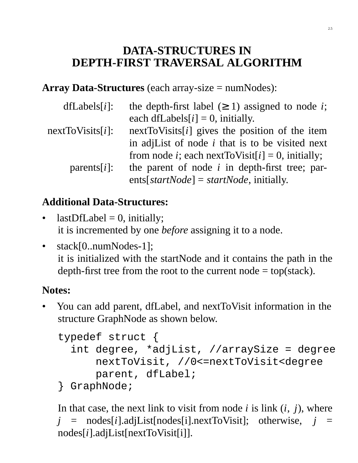# **DATA-STRUCTURES IN DEPTH-FIRST TRAVERSAL ALGORITHM**

**Array Data-Structures** (each array-size = numNodes):

| $dfLabels[i]$ :  | the depth-first label $(\geq 1)$ assigned to node <i>i</i> ;  |
|------------------|---------------------------------------------------------------|
|                  | each dfLabels $[i] = 0$ , initially.                          |
| nextToVisits[i]: | nextToVisits $[i]$ gives the position of the item             |
|                  | in adjlarition and in that is to be visited next              |
| $parents[i]$ :   | from node <i>i</i> ; each next ToVisit[ $i$ ] = 0, initially; |
|                  | the parent of node $i$ in depth-first tree; par-              |
|                  | ents[startNode] = startNode, initially.                       |

# **Additional Data-Structures:**

- $lastDfLabel = 0$ , initially; it is incremented by one *before* assigning it to a node.
- stack[0..numNodes-1]; it is initialized with the startNode and it contains the path in the depth-first tree from the root to the current node  $=$  top(stack).

## **Notes:**

• You can add parent, dfLabel, and nextToVisit information in the structure GraphNode as shown below.

```
typedef struct {
  int degree, *adjList, //arraySize = degree
      nextToVisit, //0<=nextToVisit<degree
      parent, dfLabel;
```

```
} GraphNode;
```
In that case, the next link to visit from node *i* is link (*i*, *j*), where  $j$  = nodes[*i*].adjList[nodes[i].nextToVisit]; otherwise,  $j$  = nodes[*i*].adjList[nextToVisit[i]].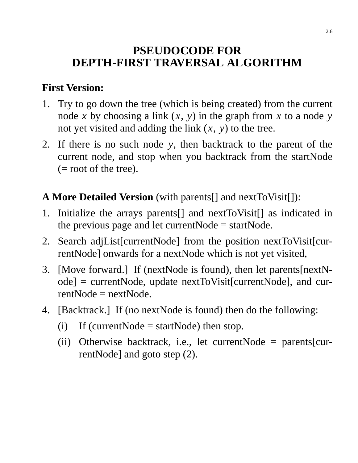# **PSEUDOCODE FOR DEPTH-FIRST TRAVERSAL ALGORITHM**

### **First Version:**

- 1. Try to go down the tree (which is being created) from the current node *x* by choosing a link  $(x, y)$  in the graph from *x* to a node *y* not yet visited and adding the link (*x*, *y*) to the tree.
- 2. If there is no such node *y*, then backtrack to the parent of the current node, and stop when you backtrack from the startNode (= root of the tree).

## **A More Detailed Version** (with parents[] and nextToVisit[]):

- 1. Initialize the arrays parents[] and nextToVisit[] as indicated in the previous page and let current $Node = startNode$ .
- 2. Search adjList[currentNode] from the position nextToVisit[currentNode] onwards for a nextNode which is not yet visited,
- 3. [Move forward.] If (nextNode is found), then let parents[nextNode] = currentNode, update nextToVisit[currentNode], and cur $rentNode = nextNode$ .
- 4. [Backtrack.] If (no nextNode is found) then do the following:
	- (i) If (current Node = start Node) then stop.
	- (ii) Otherwise backtrack, i.e., let currentNode = parents[currentNode] and goto step (2).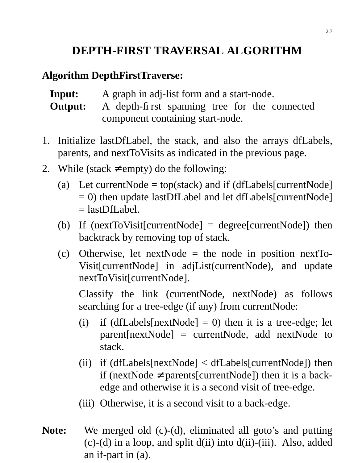# **DEPTH-FIRST TRAVERSAL ALGORITHM**

#### **Algorithm DepthFirstTraverse:**

**Input:** A graph in adj-list form and a start-node. **Output:** A depth-first spanning tree for the connected

component containing start-node.

- 1. Initialize lastDfLabel, the stack, and also the arrays dfLabels, parents, and nextToVisits as indicated in the previous page.
- 2. While (stack  $\neq$  empty) do the following:
	- (a) Let current Node = top(stack) and if (dfLabels[current Node]  $= 0$ ) then update lastDfLabel and let dfLabels[currentNode]  $=$  lastDfLabel.
	- (b) If (nextToVisit[currentNode] = degree[currentNode]) then backtrack by removing top of stack.
	- (c) Otherwise, let nextNode = the node in position nextTo-Visit[currentNode] in adjList(currentNode), and update nextToVisit[currentNode].

Classify the link (currentNode, nextNode) as follows searching for a tree-edge (if any) from currentNode:

- (i) if  $(dfLabels[nextNode] = 0)$  then it is a tree-edge; let parent[nextNode] = currentNode, add nextNode to stack.
- (ii) if (dfLabels[nextNode] < dfLabels[currentNode]) then if (nextNode ≠ parents[currentNode]) then it is a backedge and otherwise it is a second visit of tree-edge.
- (iii) Otherwise, it is a second visit to a back-edge.
- **Note:** We merged old (c)-(d), eliminated all goto's and putting  $(c)$ -(d) in a loop, and split  $d(ii)$  into  $d(ii)$ -(iii). Also, added an if-part in (a).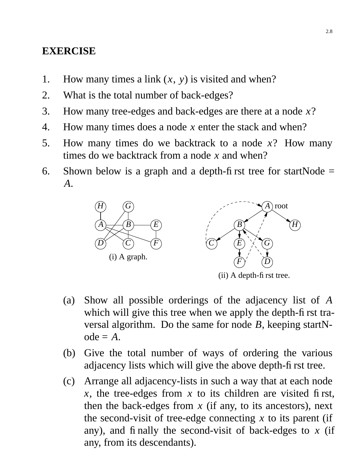#### **EXERCISE**

- 1. How many times a link (*x*, *y*) is visited and when?
- 2. What is the total number of back-edges?
- 3. How many tree-edges and back-edges are there at a node *x*?
- 4. How many times does a node *x* enter the stack and when?
- 5. How many times do we backtrack to a node *x*? How many times do we backtrack from a node *x* and when?
- 6. Shown below is a graph and a depth-first tree for startNode  $=$ *A*.



(ii) A depth-first tree.

- (a) Show all possible orderings of the adjacency list of *A* which will give this tree when we apply the depth-first traversal algorithm. Do the same for node *B*, keeping startN $ode = A$ .
- (b) Give the total number of ways of ordering the various adjacency lists which will give the above depth-first tree.
- (c) Arrange all adjacency-lists in such a way that at each node *x*, the tree-edges from *x* to its children are visited first, then the back-edges from  $x$  (if any, to its ancestors), next the second-visit of tree-edge connecting *x* to its parent (if any), and finally the second-visit of back-edges to *x* (if any, from its descendants).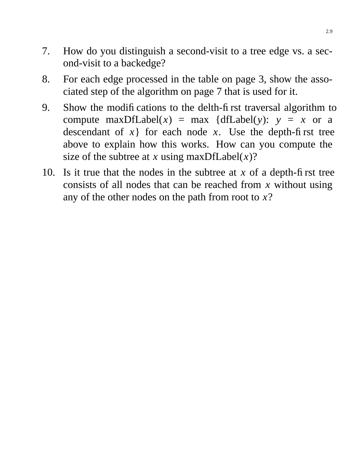- 7. How do you distinguish a second-visit to a tree edge vs. a second-visit to a backedge?
- 8. For each edge processed in the table on page 3, show the associated step of the algorithm on page 7 that is used for it.
- 9. Show the modifications to the delth-first traversal algorithm to compute maxDfLabel(*x*) = max {dfLabel(*y*):  $y = x$  or a descendant of  $x$ } for each node  $x$ . Use the depth-first tree above to explain how this works. How can you compute the size of the subtree at *x* using maxDfLabel $(x)$ ?
- 10. Is it true that the nodes in the subtree at *x* of a depth-first tree consists of all nodes that can be reached from *x* without using any of the other nodes on the path from root to *x*?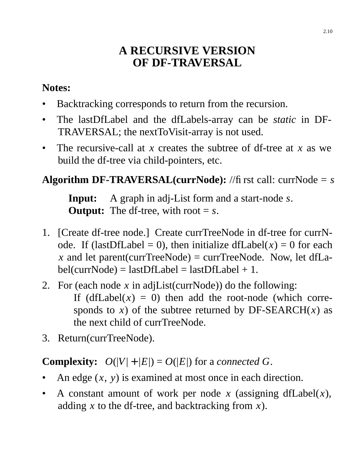# **A RECURSIVE VERSION OF DF-TRAVERSAL**

### **Notes:**

- Backtracking corresponds to return from the recursion.
- The lastDfLabel and the dfLabels-array can be *static* in DF-TRAVERSAL; the nextToVisit-array is not used.
- The recursive-call at *x* creates the subtree of df-tree at *x* as we build the df-tree via child-pointers, etc.

# **Algorithm DF-TRAVERSAL(currNode):** //fi rst call: currNode  $= s$

**Input:** A graph in adj-List form and a start-node *s*. **Output:** The df-tree, with root  $= s$ .

- 1. [Create df-tree node.] Create currTreeNode in df-tree for currNode. If (lastDfLabel = 0), then initialize dfLabel( $x$ ) = 0 for each *x* and let parent(currTreeNode) = currTreeNode. Now, let dfLa $bel(currNode) = lastDfLabel = lastDfLabel + 1.$
- 2. For (each node *x* in adjList(currNode)) do the following: If  $(dfLabel(x) = 0)$  then add the root-node (which corresponds to *x*) of the subtree returned by DF-SEARCH $(x)$  as the next child of currTreeNode.
- 3. Return(currTreeNode).

# **Complexity:**  $O(|V| + |E|) = O(|E|)$  for a *connected G*.

- An edge (*x*, *y*) is examined at most once in each direction.
- A constant amount of work per node  $x$  (assigning dfLabel $(x)$ , adding *x* to the df-tree, and backtracking from *x*).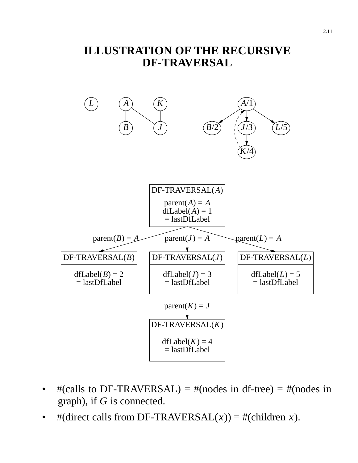## **ILLUSTRATION OF THE RECURSIVE DF-TRAVERSAL**



- $\#(cells \text{ to } DF\text{-}TRANSAL) = \#(nodes \text{ in } df\text{-tree}) = \#(nodes \text{ in }$ graph), if *G* is connected.
- #(direct calls from DF-TRAVERSAL $(x)$ ) = #(children *x*).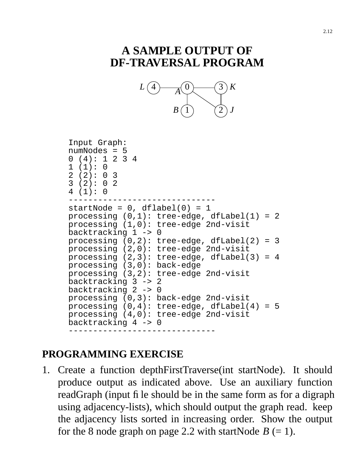# **A SAMPLE OUTPUT OF DF-TRAVERSAL PROGRAM**



```
Input Graph:
numNodes = 5
0 (4): 1 2 3 4
1(1):02(2): 033 (2): 0 2
4 (1): 0
------------------------------
startNode = 0, dflabel(0) = 1
processing (0,1): tree-edge, dfLabel(1) = 2
processing (1,0): tree-edge 2nd-visit
backtracking 1 -> 0
processing (0,2): tree-edge, dfLabel(2) = 3
processing (2,0): tree-edge 2nd-visit
processing (2,3): tree-edge, dfLabel(3) = 4
processing (3,0): back-edge
processing (3,2): tree-edge 2nd-visit
backtracking 3 -> 2
backtracking 2 -> 0
processing (0,3): back-edge 2nd-visit
processing (0,4): tree-edge, dfLabel(4) = 5
processing (4,0): tree-edge 2nd-visit
backtracking 4 -> 0
------------------------------
```
## **PROGRAMMING EXERCISE**

1. Create a function depthFirstTraverse(int startNode). It should produce output as indicated above. Use an auxiliary function readGraph (input file should be in the same form as for a digraph using adjacency-lists), which should output the graph read. keep the adjacency lists sorted in increasing order. Show the output for the 8 node graph on page 2.2 with startNode  $B (= 1)$ .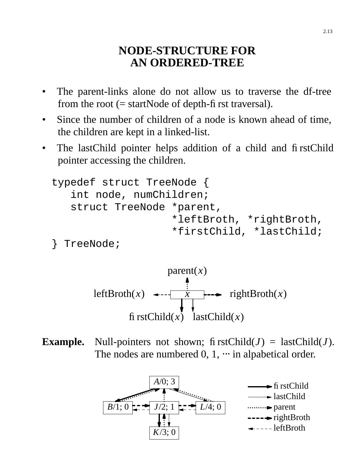### **NODE-STRUCTURE FOR AN ORDERED-TREE**

- The parent-links alone do not allow us to traverse the df-tree from the root  $(= startNode of depth-fit)$  rst traversal).
- Since the number of children of a node is known ahead of time, the children are kept in a linked-list.
- The lastChild pointer helps addition of a child and firstChild pointer accessing the children.

```
typedef struct TreeNode {
   int node, numChildren;
   struct TreeNode *parent,
                   *leftBroth, *rightBroth,
                    *firstChild, *lastChild;
```

```
} TreeNode;
```


**Example.** Null-pointers not shown; firstChild( $J$ ) = lastChild( $J$ ). The nodes are numbered  $0, 1, \cdots$  in alpabetical order.

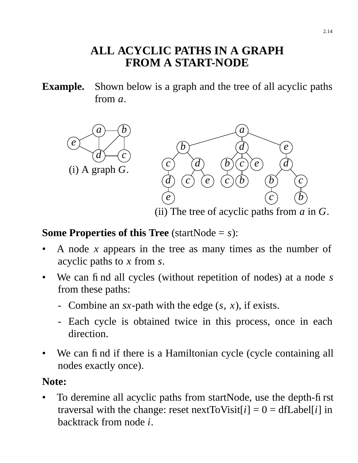# **ALL ACYCLIC PATHS IN A GRAPH FROM A START-NODE**

**Example.** Shown below is a graph and the tree of all acyclic paths from *a*.



### **Some Properties of this Tree** (startNode = *s*):

- A node *x* appears in the tree as many times as the number of acyclic paths to *x* from *s*.
- We can find all cycles (without repetition of nodes) at a node *s* from these paths:
	- Combine an *sx*-path with the edge (*s*, *x*), if exists.
	- Each cycle is obtained twice in this process, once in each direction.
- We can find if there is a Hamiltonian cycle (cycle containing all nodes exactly once).

### **Note:**

• To deremine all acyclic paths from startNode, use the depth-first traversal with the change: reset nextToVisit[ $i$ ] = 0 = dfLabel[ $i$ ] in backtrack from node *i*.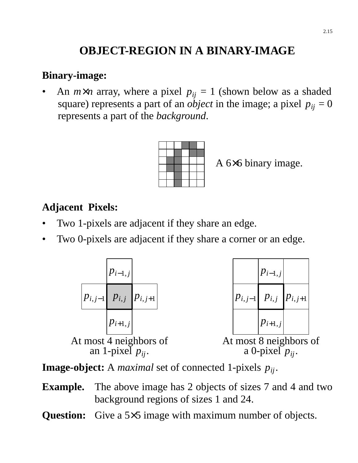# **OBJECT-REGION IN A BINARY-IMAGE**

#### **Binary-image:**

An  $m \times n$  array, where a pixel  $p_{ij} = 1$  (shown below as a shaded square) represents a part of an *object* in the image; a pixel  $p_{ij} = 0$ represents a part of the *background*.



A 6×6 binary image.

#### **Adjacent Pixels:**

- Two 1-pixels are adjacent if they share an edge.
- Two 0-pixels are adjacent if they share a corner or an edge.



**Image-object:** A *maximal* set of connected 1-pixels *pij*.

- **Example.** The above image has 2 objects of sizes 7 and 4 and two background regions of sizes 1 and 24.
- **Question:** Give a 5×5 image with maximum number of objects.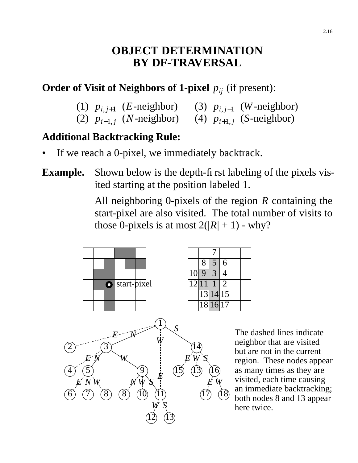## **OBJECT DETERMINATION BY DF-TRAVERSAL**

### **Order of Visit of Neighbors of 1-pixel**  $p_{ii}$  (if present):

- (1)  $p_{i,j+1}$  (*E*-neighbor) (3)  $p_{i,j-1}$  (*W*-neighbor)
- (2)  $p_{i-1,j}$  (*N*-neighbor) (4)  $p_{i+1,j}$  (*S*-neighbor)

#### **Additional Backtracking Rule:**

If we reach a 0-pixel, we immediately backtrack.

### **Example.** Shown below is the depth-first labeling of the pixels visited starting at the position labeled 1.

All neighboring 0-pixels of the region *R* containing the start-pixel are also visited. The total number of visits to those 0-pixels is at most  $2(|R|+1)$  - why?



The dashed lines indicate neighbor that are visited but are not in the current region. These nodes appear as many times as they are visited, each time causing an immediate backtracking; both nodes 8 and 13 appear here twice.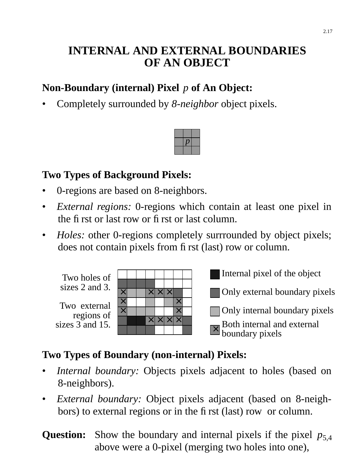# **INTERNAL AND EXTERNAL BOUNDARIES OF AN OBJECT**

# **Non-Boundary (internal) Pixel** *p* **of An Object:**

• Completely surrounded by *8-neighbor* object pixels.



### **Two Types of Background Pixels:**

- 0-regions are based on 8-neighbors.
- *External regions:* 0-regions which contain at least one pixel in the first or last row or first or last column.
- *Holes:* other 0-regions completely surrrounded by object pixels; does not contain pixels from first (last) row or column.

Two holes of sizes 2 and 3.

Two external regions of sizes  $3$  and 15.

| $\times$ |  | $\times$ $\times$ $\times$ |          |  |
|----------|--|----------------------------|----------|--|
| $\times$ |  |                            | $\times$ |  |
| $\times$ |  |                            | $\times$ |  |
|          |  | x x x                      |          |  |
|          |  |                            |          |  |

Internal pixel of the object

Only external boundary pixels

Only internal boundary pixels

 $\overline{\mathsf{x}}$ Both internal and external boundary pixels

# **Two Types of Boundary (non-internal) Pixels:**

- *Internal boundary:* Objects pixels adjacent to holes (based on 8-neighbors).
- *External boundary:* Object pixels adjacent (based on 8-neighbors) to external regions or in the first (last) row or column.
- **Question:** Show the boundary and internal pixels if the pixel  $p_{5,4}$ above were a 0-pixel (merging two holes into one),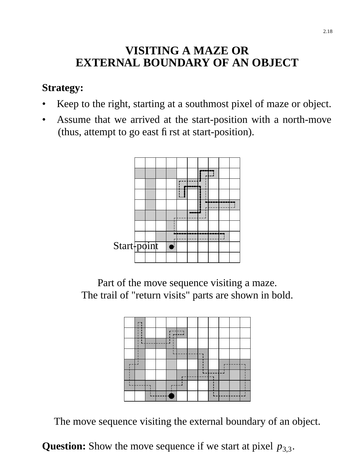# **VISITING A MAZE OR EXTERNAL BOUNDARY OF AN OBJECT**

#### **Strategy:**

- Keep to the right, starting at a southmost pixel of maze or object.
- Assume that we arrived at the start-position with a north-move (thus, attempt to go east first at start-position).



Part of the move sequence visiting a maze. The trail of "return visits" parts are shown in bold.



The move sequence visiting the external boundary of an object.

**Question:** Show the move sequence if we start at pixel  $p_{3,3}$ .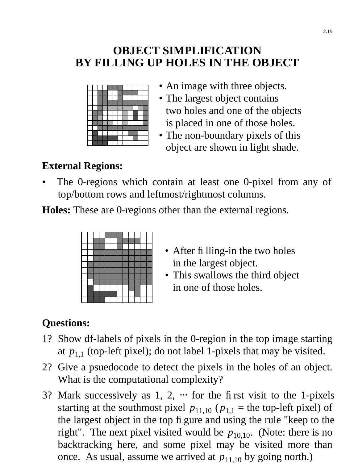# **OBJECT SIMPLIFICATION BY FILLING UP HOLES IN THE OBJECT**



- An image with three objects.
- The largest object contains two holes and one of the objects is placed in one of those holes.
- The non-boundary pixels of this object are shown in light shade.

# **External Regions:**

The 0-regions which contain at least one 0-pixel from any of top/bottom rows and leftmost/rightmost columns.

**Holes:** These are 0-regions other than the external regions.



- After fi lling-in the two holes in the largest object.
- This swallows the third object in one of those holes.

# **Questions:**

- 1? Show df-labels of pixels in the 0-region in the top image starting at  $p_{1,1}$  (top-left pixel); do not label 1-pixels that may be visited.
- 2? Give a psuedocode to detect the pixels in the holes of an object. What is the computational complexity?
- 3? Mark successively as  $1, 2, \cdots$  for the first visit to the 1-pixels starting at the southmost pixel  $p_{11,10}$  ( $p_{1,1}$  = the top-left pixel) of the largest object in the top figure and using the rule "keep to the right". The next pixel visited would be  $p_{10,10}$ . (Note: there is no backtracking here, and some pixel may be visited more than once. As usual, assume we arrived at  $p_{11,10}$  by going north.)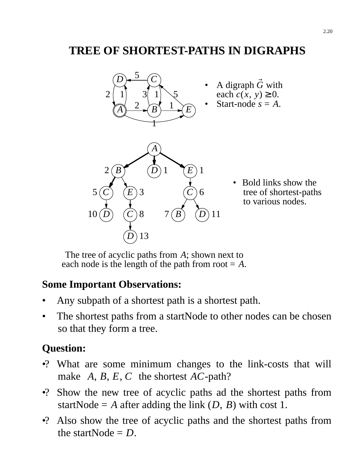# **TREE OF SHORTEST-PATHS IN DIGRAPHS**



• Bold links show the tree of shortest-paths to various nodes.

The tree of acyclic paths from *A*; shown next to each node is the length of the path from root  $= A$ .

#### **Some Important Observations:**

- Any subpath of a shortest path is a shortest path.
- The shortest paths from a startNode to other nodes can be chosen so that they form a tree.

## **Question:**

- •? What are some minimum changes to the link-costs that will make  $\langle A, B, E, C \rangle$  the shortest *AC*-path?
- •? Show the new tree of acyclic paths ad the shortest paths from startNode =  $A$  after adding the link  $(D, B)$  with cost 1.
- •? Also show the tree of acyclic paths and the shortest paths from the startNode  $= D$ .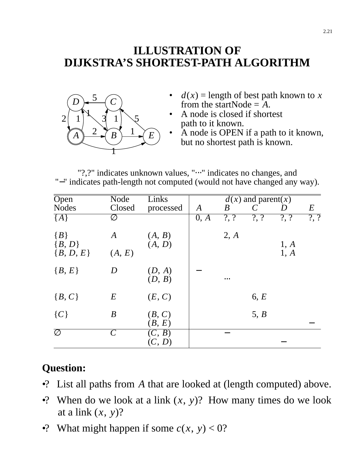# **ILLUSTRATION OF DIJKSTRA'S SHORTEST-PATH ALGORITHM**



- $d(x)$  = length of best path known to *x* from the startNode  $=$   $A$ .
- A node is closed if shortest path to it known.
- A node is OPEN if a path to it known, but no shortest path is known.

"?,?" indicates unknown values, "
<sup>...</sup>" indicates no changes, and "−" indicates path-length not computed (would not have changed any way).

| $\overline{O}$ pen | Node             | Links     | $\overline{d(x)}$ and parent(x) |                  |         |                |                |
|--------------------|------------------|-----------|---------------------------------|------------------|---------|----------------|----------------|
| <b>Nodes</b>       | Closed           | processed | $\boldsymbol{A}$                | $\boldsymbol{B}$ |         | D              | $E_{\rm}$      |
| ${A}$              | Ø                |           | 0, A                            | $?$ , ?          | $?$ , ? | $\overline{?}$ | $\overline{?}$ |
| ${B}$              | A                | (A, B)    |                                 | 2, A             |         |                |                |
| ${B, D}$           |                  | (A, D)    |                                 |                  |         | 1, A           |                |
| ${B, D, E}$        | (A, E)           |           |                                 |                  |         | 1, A           |                |
| ${B, E}$           | D                | (D, A)    |                                 |                  |         |                |                |
|                    |                  | (D, B)    |                                 | $\cdots$         |         |                |                |
| ${B, C}$           | $E_{\rm}$        | (E, C)    |                                 |                  | 6, E    |                |                |
|                    |                  |           |                                 |                  |         |                |                |
| $\{C\}$            | $\boldsymbol{B}$ | (B, C)    |                                 |                  | 5, B    |                |                |
|                    |                  | (B, E)    |                                 |                  |         |                |                |
| Ø                  | $\mathcal C$     | (C, B)    |                                 |                  |         |                |                |
|                    |                  | (C, D)    |                                 |                  |         |                |                |

## **Question:**

- •? List all paths from *A* that are looked at (length computed) above.
- •? When do we look at a link  $(x, y)$ ? How many times do we look at a link (*x*, *y*)?
- •? What might happen if some  $c(x, y) < 0$ ?